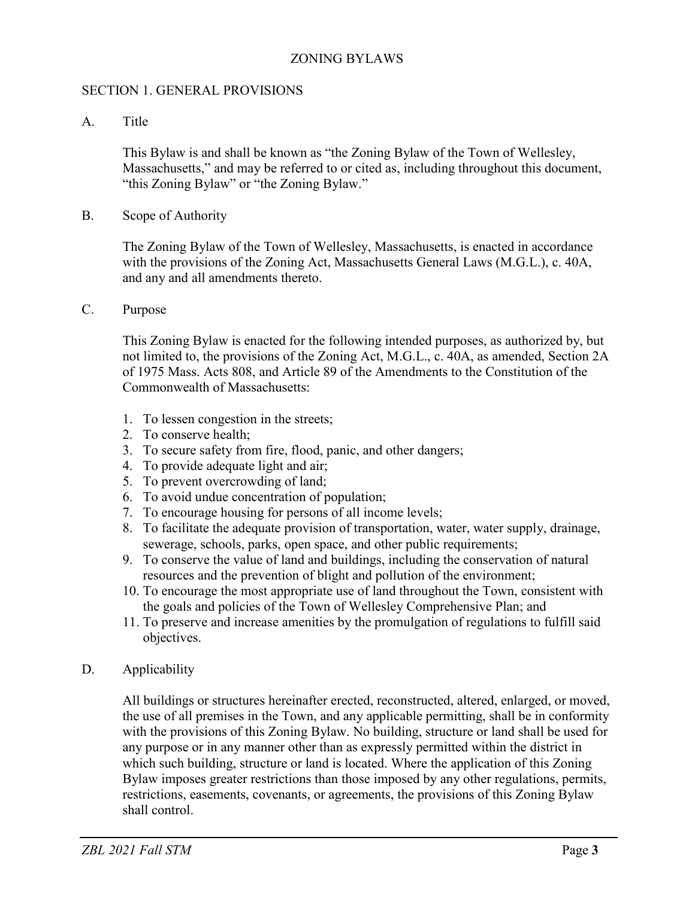### ZONING BYLAWS

### SECTION 1. GENERAL PROVISIONS

A. Title

This Bylaw is and shall be known as "the Zoning Bylaw of the Town of Wellesley, Massachusetts," and may be referred to or cited as, including throughout this document, "this Zoning Bylaw" or "the Zoning Bylaw."

B. Scope of Authority

The Zoning Bylaw of the Town of Wellesley, Massachusetts, is enacted in accordance with the provisions of the Zoning Act, Massachusetts General Laws (M.G.L.), c. 40A, and any and all amendments thereto.

C. Purpose

This Zoning Bylaw is enacted for the following intended purposes, as authorized by, but not limited to, the provisions of the Zoning Act, M.G.L., c. 40A, as amended, Section 2A of 1975 Mass. Acts 808, and Article 89 of the Amendments to the Constitution of the Commonwealth of Massachusetts:

- 1. To lessen congestion in the streets;
- 2. To conserve health;
- 3. To secure safety from fire, flood, panic, and other dangers;
- 4. To provide adequate light and air;
- 5. To prevent overcrowding of land;
- 6. To avoid undue concentration of population;
- 7. To encourage housing for persons of all income levels;
- 8. To facilitate the adequate provision of transportation, water, water supply, drainage, sewerage, schools, parks, open space, and other public requirements;
- 9. To conserve the value of land and buildings, including the conservation of natural resources and the prevention of blight and pollution of the environment;
- 10. To encourage the most appropriate use of land throughout the Town, consistent with the goals and policies of the Town of Wellesley Comprehensive Plan; and
- 11. To preserve and increase amenities by the promulgation of regulations to fulfill said objectives.
- D. Applicability

All buildings or structures hereinafter erected, reconstructed, altered, enlarged, or moved, the use of all premises in the Town, and any applicable permitting, shall be in conformity with the provisions of this Zoning Bylaw. No building, structure or land shall be used for any purpose or in any manner other than as expressly permitted within the district in which such building, structure or land is located. Where the application of this Zoning Bylaw imposes greater restrictions than those imposed by any other regulations, permits, restrictions, easements, covenants, or agreements, the provisions of this Zoning Bylaw shall control.